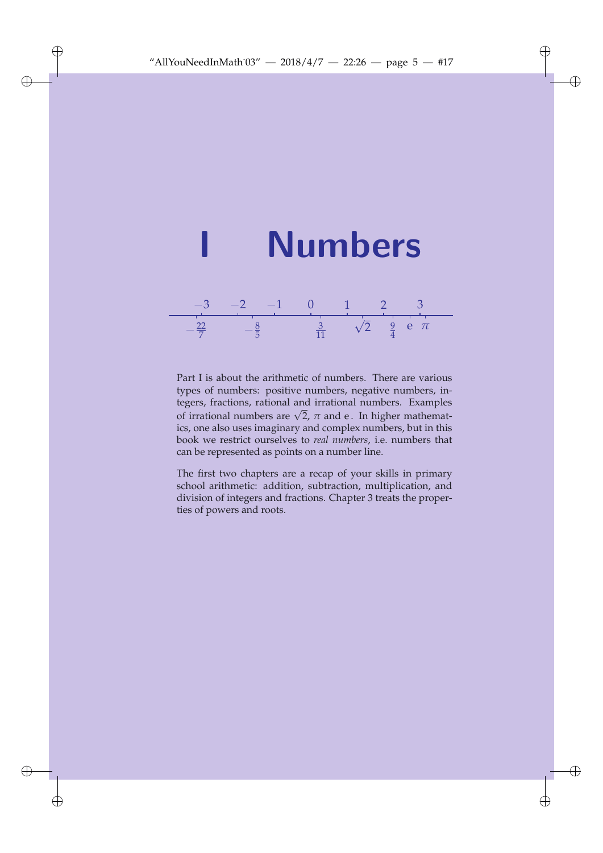

Part I is about the arithmetic of numbers. There are various types of numbers: positive numbers, negative numbers, integers, fractions, rational and irrational numbers. Examples tegers, fractions, rational and frational numbers. Examples<br>of irrational numbers are  $\sqrt{2}$ ,  $\pi$  and e. In higher mathematics, one also uses imaginary and complex numbers, but in this book we restrict ourselves to *real numbers*, i.e. numbers that can be represented as points on a number line.

The first two chapters are a recap of your skills in primary school arithmetic: addition, subtraction, multiplication, and division of integers and fractions. Chapter 3 treats the properties of powers and roots.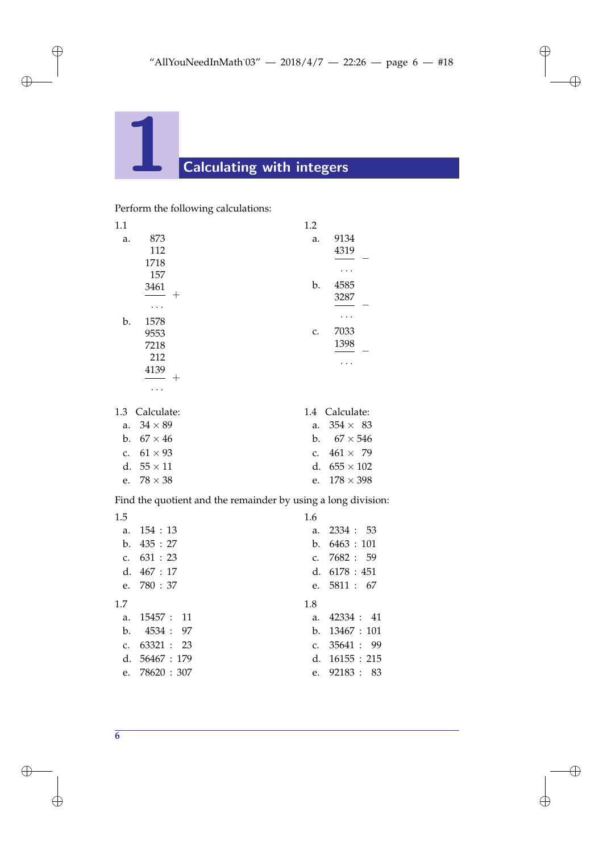Perform the following calculations:

| 1.1 |            | 1.2 |            |
|-----|------------|-----|------------|
| a.  | 873        | a.  | 9134       |
|     | 112        |     | 4319       |
|     | 1718       |     |            |
|     | 157        |     |            |
|     | 3461       | b.  | 4585       |
|     | $^+$       |     | 3287       |
|     |            |     |            |
| b.  | 1578       |     |            |
|     | 9553       | c.  | 7033       |
|     | 7218       |     | 1398       |
|     | 212        |     |            |
|     | 4139       |     |            |
|     | $^+$       |     |            |
|     |            |     |            |
| 1.3 | Calculate: | 1.4 | Calculate: |
|     |            |     |            |

| a. $34 \times 89$ | a. $354 \times 83$  |
|-------------------|---------------------|
| b. $67 \times 46$ | b. $67 \times 546$  |
| c. $61 \times 93$ | c. $461 \times 79$  |
| d. $55 \times 11$ | d. $655 \times 102$ |
| e. $78 \times 38$ | e. $178 \times 398$ |
|                   |                     |

Find the quotient and the remainder by using a long division:

| 1.5          |                  | 1.6              |  |
|--------------|------------------|------------------|--|
| a.           | 154:13           | a. $2334 : 53$   |  |
| $h_{-}$      | 435:27           | b. $6463 : 101$  |  |
|              | c. $631 : 23$    | c. $7682 : 59$   |  |
|              | d. $467:17$      | d. $6178:451$    |  |
|              | e. $780 : 37$    | e. $5811 : 67$   |  |
|              |                  |                  |  |
| 17           |                  | 1.8              |  |
| $a_{-}$      | 15457: 11        | a. $42334 : 41$  |  |
| b.           | 4534: 97         | b. $13467 : 101$ |  |
|              | c. $63321 : 23$  | c. $35641 : 99$  |  |
|              | d. $56467 : 179$ | d. $16155 : 215$ |  |
| $\mathbf{e}$ | 78620: 307       | e. 92183 : 83    |  |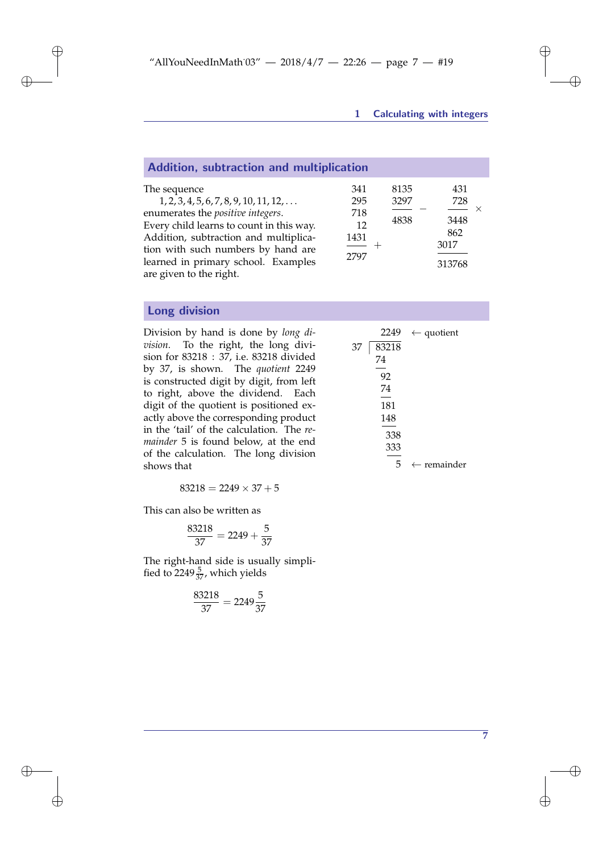$2249 \leftarrow$  quotient

 $5 \leftarrow$  remainder

| Addition, subtraction and multiplication                                                                                                                                                                                                                                                          |                                         |                      |                                             |
|---------------------------------------------------------------------------------------------------------------------------------------------------------------------------------------------------------------------------------------------------------------------------------------------------|-----------------------------------------|----------------------|---------------------------------------------|
| The sequence<br>$1, 2, 3, 4, 5, 6, 7, 8, 9, 10, 11, 12, \ldots$<br>enumerates the positive integers.<br>Every child learns to count in this way.<br>Addition, subtraction and multiplica-<br>tion with such numbers by hand are<br>learned in primary school. Examples<br>are given to the right. | 341<br>295<br>718<br>12<br>1431<br>2797 | 8135<br>3297<br>4838 | 431<br>728<br>3448<br>862<br>3017<br>313768 |

# Long division

Division by hand is done by *long division*. To the right, the long division for 83218 : 37, i.e. 83218 divided by 37, is shown. The *quotient* 2249 is constructed digit by digit, from left to right, above the dividend. Each digit of the quotient is positioned exactly above the corresponding product in the 'tail' of the calculation. The *remainder* 5 is found below, at the end of the calculation. The long division shows that

 $83218 = 2249 \times 37 + 5$ 

This can also be written as

$$
\frac{83218}{37} = 2249 + \frac{5}{37}
$$

The right-hand side is usually simplified to 2249 $\frac{5}{37}$ , which yields

$$
\frac{83218}{37} = 2249\frac{5}{37}
$$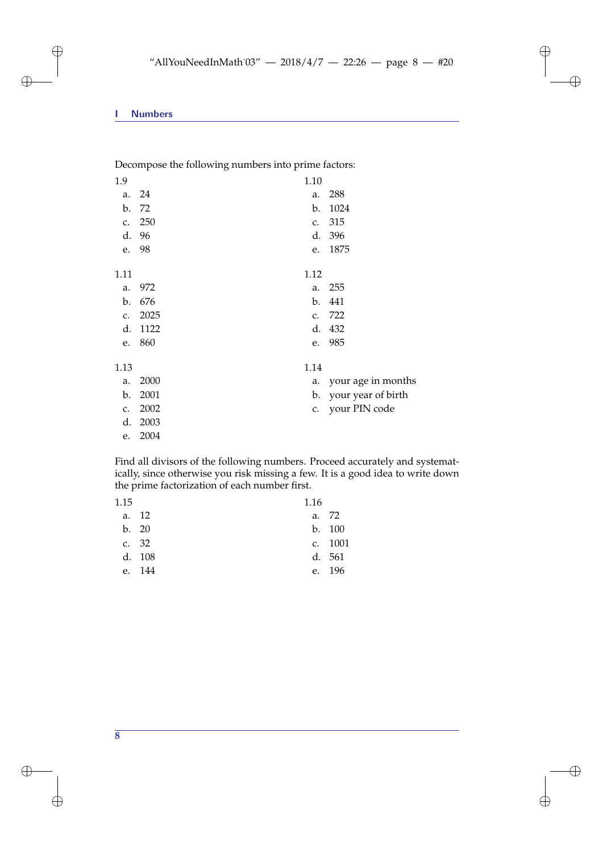Decompose the following numbers into prime factors:

| 1.9  |      | 1.10 |                    |
|------|------|------|--------------------|
| a.   | 24   | a.   | 288                |
| b.   | 72   | b.   | 1024               |
| c.   | 250  | c.   | 315                |
| d.   | 96   |      | d. 396             |
| e.   | 98   | e.   | 1875               |
| 1.11 |      | 1.12 |                    |
| a.   | 972  | a.   | 255                |
| b.   | 676  | b.   | 441                |
| c.   | 2025 | c.   | 722                |
| d.   | 1122 |      | d. 432             |
| e.   | 860  | e.   | 985                |
| 1.13 |      | 1.14 |                    |
| a.   | 2000 | a.   | your age in months |
| b.   | 2001 | b.   | your year of birth |
| c.   | 2002 | c.   | your PIN code      |
| d.   | 2003 |      |                    |
| e.   | 2004 |      |                    |

Find all divisors of the following numbers. Proceed accurately and systematically, since otherwise you risk missing a few. It is a good idea to write down the prime factorization of each number first.

| 1.15 |        | 1.16  |         |
|------|--------|-------|---------|
|      | a. 12  | a. 72 |         |
|      | b. 20  |       | b. 100  |
|      | c. 32  |       | c. 1001 |
|      | d. 108 |       | d. 561  |
| e.   | - 144  |       | e. 196  |
|      |        |       |         |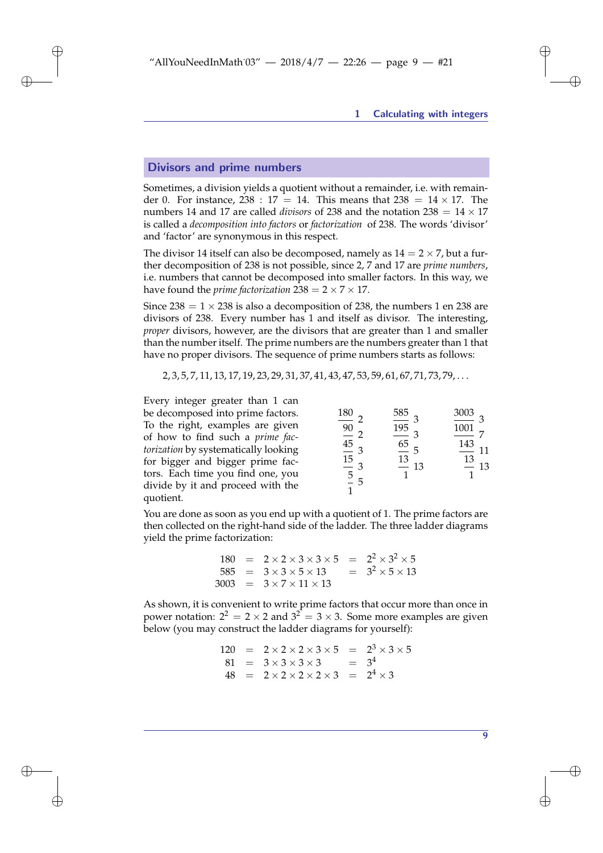### Divisors and prime numbers

Sometimes, a division yields a quotient without a remainder, i.e. with remainder 0. For instance,  $238: 17 = 14$ . This means that  $238 = 14 \times 17$ . The numbers 14 and 17 are called *divisors* of 238 and the notation  $238 = 14 \times 17$ is called a *decomposition into factors* or *factorization* of 238. The words 'divisor' and 'factor' are synonymous in this respect.

The divisor 14 itself can also be decomposed, namely as  $14 = 2 \times 7$ , but a further decomposition of 238 is not possible, since 2, 7 and 17 are *prime numbers*, i.e. numbers that cannot be decomposed into smaller factors. In this way, we have found the *prime factorization*  $238 = 2 \times 7 \times 17$ .

Since  $238 = 1 \times 238$  is also a decomposition of 238, the numbers 1 en 238 are divisors of 238. Every number has 1 and itself as divisor. The interesting, *proper* divisors, however, are the divisors that are greater than 1 and smaller than the number itself. The prime numbers are the numbers greater than 1 that have no proper divisors. The sequence of prime numbers starts as follows:

2, 3, 5, 7, 11, 13, 17, 19, 23, 29, 31, 37, 41, 43, 47, 53, 59, 61, 67, 71, 73, 79, . . .

Every integer greater than 1 can be decomposed into prime factors. To the right, examples are given of how to find such a *prime factorization* by systematically looking for bigger and bigger prime factors. Each time you find one, you divide by it and proceed with the quotient.

| 180                           | 585<br>3            | 3003<br>3            |
|-------------------------------|---------------------|----------------------|
| $\frac{90}{1}$                | 195                 | 1001                 |
|                               |                     | 143                  |
| $\frac{45}{15}$ $\frac{1}{5}$ | h<br>$\frac{13}{1}$ | 11<br>$\frac{13}{1}$ |
|                               | 13                  | 13                   |
| $\mathcal{F}$                 |                     |                      |
|                               |                     |                      |

You are done as soon as you end up with a quotient of 1. The prime factors are then collected on the right-hand side of the ladder. The three ladder diagrams yield the prime factorization:

$$
180 = 2 \times 2 \times 3 \times 3 \times 5 = 2^2 \times 3^2 \times 5
$$
  
\n
$$
585 = 3 \times 3 \times 5 \times 13 = 3^2 \times 5 \times 13
$$
  
\n
$$
3003 = 3 \times 7 \times 11 \times 13
$$

As shown, it is convenient to write prime factors that occur more than once in power notation:  $2^2 = 2 \times 2$  and  $3^2 = 3 \times 3$ . Some more examples are given below (you may construct the ladder diagrams for yourself):

$$
120 = 2 \times 2 \times 2 \times 3 \times 5 = 23 \times 3 \times 5
$$
  
\n
$$
81 = 3 \times 3 \times 3 \times 3 = 34
$$
  
\n
$$
48 = 2 \times 2 \times 2 \times 2 \times 3 = 24 \times 3
$$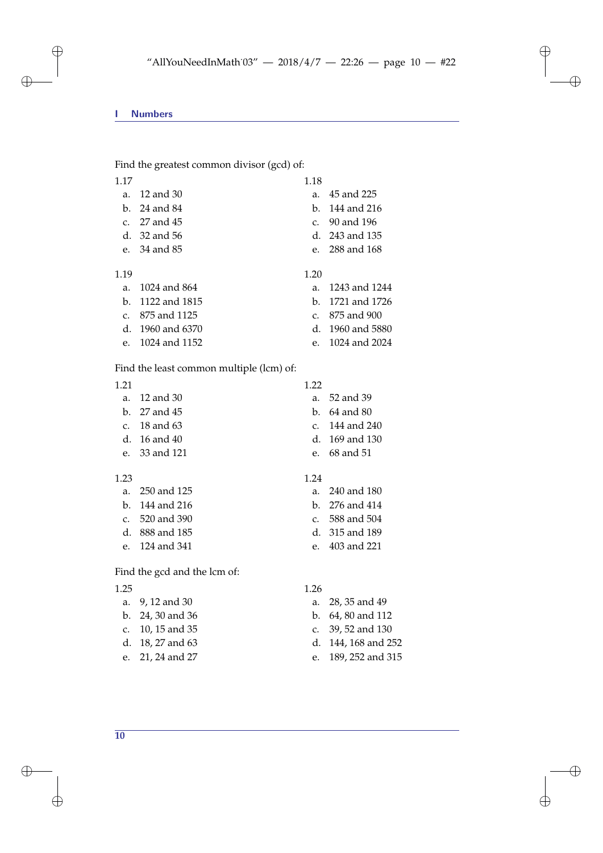Find the greatest common divisor (gcd) of:

1.17

- a. 12 and 30
- b. 24 and 84 c. 27 and 45
- d. 32 and 56
- e. 34 and 85
- 
- 1.19
	- a. 1024 and 864
	- b. 1122 and 1815
	- c. 875 and 1125
	- d. 1960 and 6370
	- e. 1024 and 1152

### Find the least common multiple (lcm) of:

| 1 21 |                  | 1 22 |                    |
|------|------------------|------|--------------------|
|      | a. 12 and 30     |      | a. 52 and 39       |
|      | $h. 27$ and 45   |      | b. $64$ and $80$   |
|      | c. $18$ and $63$ |      | c. 144 and 240     |
|      | d. $16$ and $40$ |      | d. $169$ and $130$ |
|      | e. 33 and 121    |      | e. 68 and 51       |
|      |                  |      |                    |

## 1.23

- a. 250 and 125
- b. 144 and 216 c. 520 and 390
- d. 888 and 185
- e. 124 and 341

# Find the gcd and the lcm of:

#### 1.25

- a. 9, 12 and 30
- b. 24, 30 and 36
- c. 10, 15 and 35
- d. 18, 27 and 63
- e. 21, 24 and 27

#### 1.24

- a. 240 and 180
- b. 276 and 414
- c. 588 and 504
- d. 315 and 189
- e. 403 and 221

### 1.26

- a. 28, 35 and 49
- b. 64, 80 and 112
- c. 39, 52 and 130
- d. 144, 168 and 252
- e. 189, 252 and 315

**10**

- a. 1243 and 1244 b. 1721 and 1726 c. 875 and 900
	- d. 1960 and 5880 e. 1024 and 2024

1.18

1.20

a. 45 and 225 b. 144 and 216 c. 90 and 196 d. 243 and 135 e. 288 and 168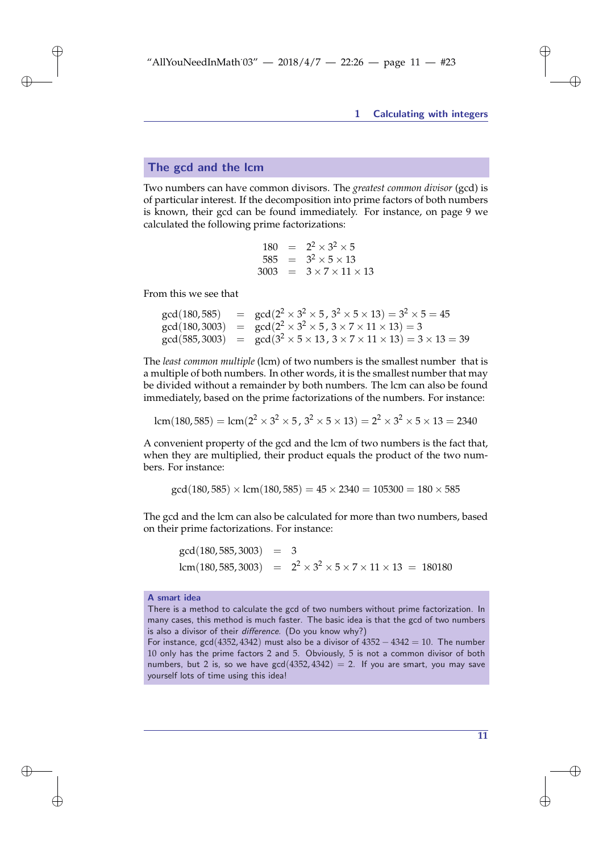#### The gcd and the lcm

Two numbers can have common divisors. The *greatest common divisor* (gcd) is of particular interest. If the decomposition into prime factors of both numbers is known, their gcd can be found immediately. For instance, on page 9 we calculated the following prime factorizations:

$$
180 = 22 \times 32 \times 5 \n585 = 32 \times 5 \times 13 \n3003 = 3 \times 7 \times 11 \times 13
$$

From this we see that

$$
gcd(180, 585) = gcd(2^2 \times 3^2 \times 5, 3^2 \times 5 \times 13) = 3^2 \times 5 = 45
$$
  
\n
$$
gcd(180, 3003) = gcd(2^2 \times 3^2 \times 5, 3 \times 7 \times 11 \times 13) = 3
$$
  
\n
$$
gcd(585, 3003) = gcd(3^2 \times 5 \times 13, 3 \times 7 \times 11 \times 13) = 3 \times 13 = 39
$$

The *least common multiple* (lcm) of two numbers is the smallest number that is a multiple of both numbers. In other words, it is the smallest number that may be divided without a remainder by both numbers. The lcm can also be found immediately, based on the prime factorizations of the numbers. For instance:

$$
lcm(180,585) = lcm(22 × 32 × 5, 32 × 5 × 13) = 22 × 32 × 5 × 13 = 2340
$$

A convenient property of the gcd and the lcm of two numbers is the fact that, when they are multiplied, their product equals the product of the two numbers. For instance:

$$
gcd(180, 585) \times lcm(180, 585) = 45 \times 2340 = 105300 = 180 \times 585
$$

The gcd and the lcm can also be calculated for more than two numbers, based on their prime factorizations. For instance:

$$
gcd(180, 585, 3003) = 3
$$
  
lcm(180, 585, 3003) =  $2^2 \times 3^2 \times 5 \times 7 \times 11 \times 13 = 180180$ 

#### A smart idea

There is a method to calculate the gcd of two numbers without prime factorization. In many cases, this method is much faster. The basic idea is that the gcd of two numbers is also a divisor of their difference. (Do you know why?)

For instance,  $gcd(4352, 4342)$  must also be a divisor of  $4352 - 4342 = 10$ . The number 10 only has the prime factors 2 and 5. Obviously, 5 is not a common divisor of both numbers, but 2 is, so we have  $gcd(4352, 4342) = 2$ . If you are smart, you may save yourself lots of time using this idea!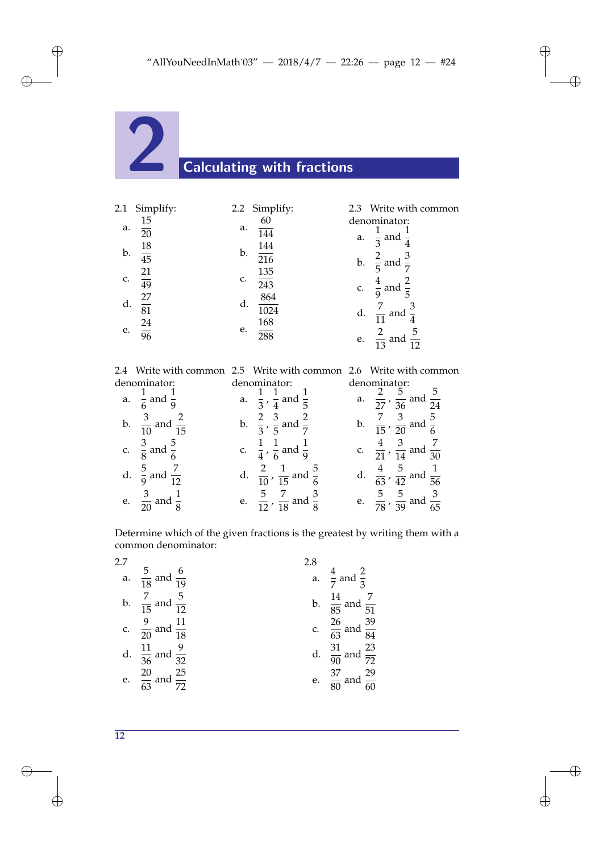

| 2.1 | Simplify:       |    | 2.2 Simplify:           |    | 2.3 Write with common                           |
|-----|-----------------|----|-------------------------|----|-------------------------------------------------|
| a.  | $\frac{15}{20}$ | a. | 60<br>$\overline{144}$  | a. | denominator:<br>$\frac{1}{3}$ and $\frac{1}{4}$ |
| b.  | $\frac{18}{45}$ | b. | 144<br>$\overline{216}$ | b. | $\frac{2}{5}$ and $\frac{3}{7}$                 |
| c.  | $rac{21}{49}$   | c. | $\frac{135}{243}$       | c. | $rac{4}{9}$ and $rac{2}{5}$                     |
| d.  | $\frac{27}{81}$ | d. | 864<br>1024             | d. | $\frac{7}{11}$ and $\frac{3}{4}$                |
| e.  | $\frac{24}{96}$ | e. | $\frac{168}{288}$       | e. | $rac{2}{13}$ and                                |

2.4 Write with common denominator: 2.5 Write with common denominator: 2.6 Write with common denominator:

| enominator:                          | denominator:                                         | denominator:                                          |
|--------------------------------------|------------------------------------------------------|-------------------------------------------------------|
| a. $\frac{1}{6}$ and $\frac{1}{9}$   | a. $\frac{1}{3}$ , $\frac{1}{4}$ and $\frac{1}{5}$   | a. $\frac{2}{27}$ , $\frac{5}{36}$ and $\frac{5}{24}$ |
| b. $\frac{3}{10}$ and $\frac{2}{15}$ | b. $\frac{2}{3}$ , $\frac{3}{5}$ and $\frac{2}{7}$   | b. $\frac{7}{15}$ , $\frac{3}{20}$ and $\frac{5}{6}$  |
| c. $\frac{3}{8}$ and $\frac{5}{6}$   | c. $\frac{1}{4}$ , $\frac{1}{6}$ and $\frac{1}{9}$   | c. $\frac{4}{21}$ , $\frac{3}{14}$ and $\frac{7}{30}$ |
| d. $\frac{5}{9}$ and $\frac{7}{12}$  | d. $\frac{2}{10}$ , $\frac{1}{15}$ and $\frac{5}{6}$ | d. $\frac{4}{63}$ , $\frac{5}{42}$ and $\frac{1}{56}$ |
| e. $\frac{3}{20}$ and $\frac{1}{8}$  | e. $\frac{5}{12}$ , $\frac{7}{18}$ and $\frac{3}{8}$ | e. $\frac{5}{78}$ , $\frac{5}{39}$ and $\frac{3}{65}$ |

Determine which of the given fractions is the greatest by writing them with a common denominator:

| 2.7 |                                        | 2.8 |                                        |
|-----|----------------------------------------|-----|----------------------------------------|
|     | a. $\frac{5}{18}$ and $\frac{6}{19}$   |     | a. $\frac{4}{7}$ and $\frac{2}{3}$     |
|     | b. $\frac{7}{15}$ and $\frac{5}{12}$   |     | b. $\frac{14}{85}$ and $\frac{7}{51}$  |
|     | c. $\frac{9}{20}$ and $\frac{11}{18}$  |     | c. $\frac{26}{63}$ and $\frac{39}{84}$ |
|     | d. $\frac{11}{36}$ and $\frac{9}{32}$  |     | d. $\frac{31}{90}$ and $\frac{23}{72}$ |
|     | e. $\frac{20}{63}$ and $\frac{25}{72}$ |     | e. $\frac{37}{80}$ and $\frac{29}{60}$ |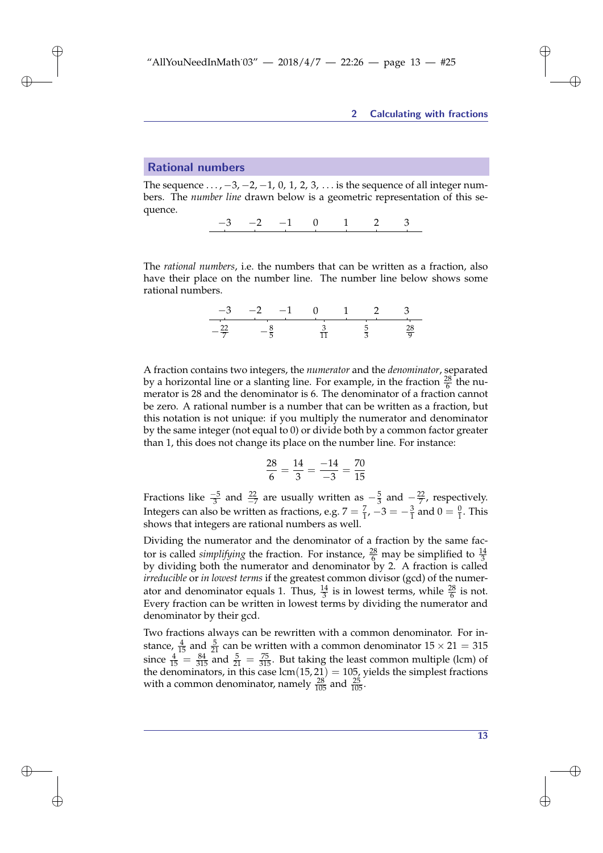#### Rational numbers

The sequence  $\ldots$ ,  $-3$ ,  $-2$ ,  $-1$ , 0, 1, 2, 3,  $\ldots$  is the sequence of all integer numbers. The *number line* drawn below is a geometric representation of this sequence.

−3 −2 −1 0 1 2 3

The *rational numbers*, i.e. the numbers that can be written as a fraction, also have their place on the number line. The number line below shows some rational numbers.

$$
\begin{array}{ccccccccc}\n-3 & -2 & -1 & 0 & 1 & 2 & 3 \\
\hline\n-22 & & -\frac{8}{5} & & \frac{3}{11} & & \frac{5}{3} & & \frac{28}{9}\n\end{array}
$$

A fraction contains two integers, the *numerator* and the *denominator*, separated by a horizontal line or a slanting line. For example, in the fraction  $\frac{28}{6}$  the numerator is 28 and the denominator is 6. The denominator of a fraction cannot be zero. A rational number is a number that can be written as a fraction, but this notation is not unique: if you multiply the numerator and denominator by the same integer (not equal to 0) or divide both by a common factor greater than 1, this does not change its place on the number line. For instance:

$$
\frac{28}{6} = \frac{14}{3} = \frac{-14}{-3} = \frac{70}{15}
$$

Fractions like  $\frac{-5}{3}$  and  $\frac{22}{-7}$  are usually written as  $-\frac{5}{3}$  and  $-\frac{22}{7}$ , respectively. Integers can also be written as fractions, e.g.  $7 = \frac{7}{1}$ ,  $-3 = -\frac{3}{1}$  and  $0 = \frac{0}{1}$ . This shows that integers are rational numbers as well.

Dividing the numerator and the denominator of a fraction by the same factor is called *simplifying* the fraction. For instance,  $\frac{28}{6}$  may be simplified to  $\frac{14}{3}$ by dividing both the numerator and denominator by 2. A fraction is called *irreducible* or *in lowest terms* if the greatest common divisor (gcd) of the numerator and denominator equals 1. Thus,  $\frac{14}{3}$  is in lowest terms, while  $\frac{28}{6}$  is not. Every fraction can be written in lowest terms by dividing the numerator and denominator by their gcd.

Two fractions always can be rewritten with a common denominator. For instance,  $\frac{4}{15}$  and  $\frac{5}{21}$  can be written with a common denominator  $15 \times 21 = 315$ since  $\frac{4}{15} = \frac{84}{315}$  and  $\frac{5}{21} = \frac{75}{315}$ . But taking the least common multiple (lcm) of the denominators, in this case lcm(15, 21) = 105, yields the simplest fractions with a common denominator, namely  $\frac{28}{105}$  and  $\frac{25}{105}$ .